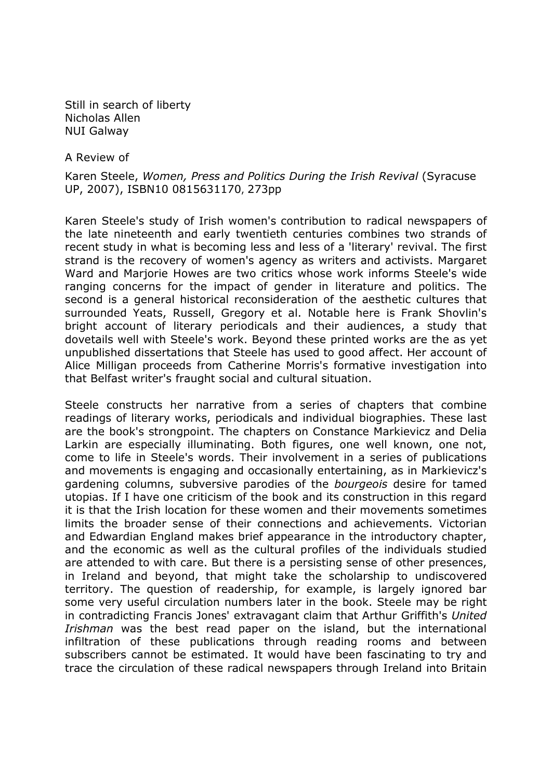Still in search of liberty Nicholas Allen NUI Galway

A Review of

Karen Steele, Women, Press and Politics During the Irish Revival (Syracuse UP, 2007), ISBN10 0815631170, 273pp

Karen Steele's study of Irish women's contribution to radical newspapers of the late nineteenth and early twentieth centuries combines two strands of recent study in what is becoming less and less of a 'literary' revival. The first strand is the recovery of women's agency as writers and activists. Margaret Ward and Marjorie Howes are two critics whose work informs Steele's wide ranging concerns for the impact of gender in literature and politics. The second is a general historical reconsideration of the aesthetic cultures that surrounded Yeats, Russell, Gregory et al. Notable here is Frank Shovlin's bright account of literary periodicals and their audiences, a study that dovetails well with Steele's work. Beyond these printed works are the as yet unpublished dissertations that Steele has used to good affect. Her account of Alice Milligan proceeds from Catherine Morris's formative investigation into that Belfast writer's fraught social and cultural situation.

Steele constructs her narrative from a series of chapters that combine readings of literary works, periodicals and individual biographies. These last are the book's strongpoint. The chapters on Constance Markievicz and Delia Larkin are especially illuminating. Both figures, one well known, one not, come to life in Steele's words. Their involvement in a series of publications and movements is engaging and occasionally entertaining, as in Markievicz's gardening columns, subversive parodies of the *bourgeois* desire for tamed utopias. If I have one criticism of the book and its construction in this regard it is that the Irish location for these women and their movements sometimes limits the broader sense of their connections and achievements. Victorian and Edwardian England makes brief appearance in the introductory chapter, and the economic as well as the cultural profiles of the individuals studied are attended to with care. But there is a persisting sense of other presences, in Ireland and beyond, that might take the scholarship to undiscovered territory. The question of readership, for example, is largely ignored bar some very useful circulation numbers later in the book. Steele may be right in contradicting Francis Jones' extravagant claim that Arthur Griffith's United Irishman was the best read paper on the island, but the international infiltration of these publications through reading rooms and between subscribers cannot be estimated. It would have been fascinating to try and trace the circulation of these radical newspapers through Ireland into Britain